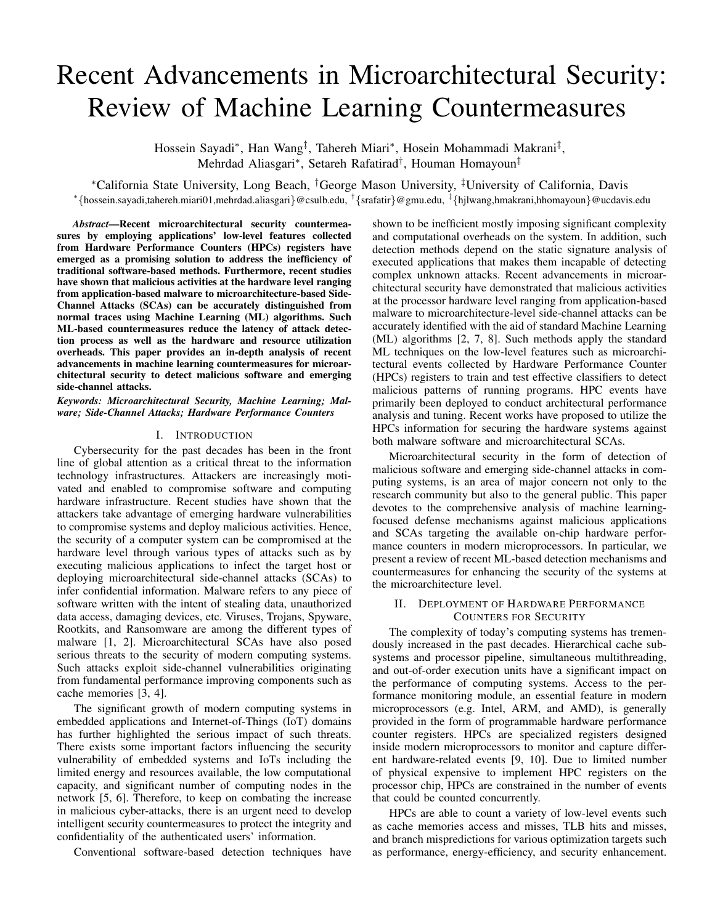# Recent Advancements in Microarchitectural Security: Review of Machine Learning Countermeasures

Hossein Sayadi\*, Han Wang<sup>‡</sup>, Tahereh Miari\*, Hosein Mohammadi Makrani<sup>‡</sup>, Mehrdad Aliasgari<sup>∗</sup> , Setareh Rafatirad† , Houman Homayoun‡

<sup>∗</sup>California State University, Long Beach, †George Mason University, ‡University of California, Davis ∗ {hossein.sayadi,tahereh.miari01,mehrdad.aliasgari}@csulb.edu, † {srafatir}@gmu.edu, ‡ {hjlwang,hmakrani,hhomayoun}@ucdavis.edu

*Abstract*—Recent microarchitectural security countermeasures by employing applications' low-level features collected from Hardware Performance Counters (HPCs) registers have emerged as a promising solution to address the inefficiency of traditional software-based methods. Furthermore, recent studies have shown that malicious activities at the hardware level ranging from application-based malware to microarchitecture-based Side-Channel Attacks (SCAs) can be accurately distinguished from normal traces using Machine Learning (ML) algorithms. Such ML-based countermeasures reduce the latency of attack detection process as well as the hardware and resource utilization overheads. This paper provides an in-depth analysis of recent advancements in machine learning countermeasures for microarchitectural security to detect malicious software and emerging side-channel attacks.

*Keywords: Microarchitectural Security, Machine Learning; Malware; Side-Channel Attacks; Hardware Performance Counters*

# I. INTRODUCTION

Cybersecurity for the past decades has been in the front line of global attention as a critical threat to the information technology infrastructures. Attackers are increasingly motivated and enabled to compromise software and computing hardware infrastructure. Recent studies have shown that the attackers take advantage of emerging hardware vulnerabilities to compromise systems and deploy malicious activities. Hence, the security of a computer system can be compromised at the hardware level through various types of attacks such as by executing malicious applications to infect the target host or deploying microarchitectural side-channel attacks (SCAs) to infer confidential information. Malware refers to any piece of software written with the intent of stealing data, unauthorized data access, damaging devices, etc. Viruses, Trojans, Spyware, Rootkits, and Ransomware are among the different types of malware [1, 2]. Microarchitectural SCAs have also posed serious threats to the security of modern computing systems. Such attacks exploit side-channel vulnerabilities originating from fundamental performance improving components such as cache memories [3, 4].

The significant growth of modern computing systems in embedded applications and Internet-of-Things (IoT) domains has further highlighted the serious impact of such threats. There exists some important factors influencing the security vulnerability of embedded systems and IoTs including the limited energy and resources available, the low computational capacity, and significant number of computing nodes in the network [5, 6]. Therefore, to keep on combating the increase in malicious cyber-attacks, there is an urgent need to develop intelligent security countermeasures to protect the integrity and confidentiality of the authenticated users' information.

Conventional software-based detection techniques have

shown to be inefficient mostly imposing significant complexity and computational overheads on the system. In addition, such detection methods depend on the static signature analysis of executed applications that makes them incapable of detecting complex unknown attacks. Recent advancements in microarchitectural security have demonstrated that malicious activities at the processor hardware level ranging from application-based malware to microarchitecture-level side-channel attacks can be accurately identified with the aid of standard Machine Learning (ML) algorithms [2, 7, 8]. Such methods apply the standard ML techniques on the low-level features such as microarchitectural events collected by Hardware Performance Counter (HPCs) registers to train and test effective classifiers to detect malicious patterns of running programs. HPC events have primarily been deployed to conduct architectural performance analysis and tuning. Recent works have proposed to utilize the HPCs information for securing the hardware systems against both malware software and microarchitectural SCAs.

Microarchitectural security in the form of detection of malicious software and emerging side-channel attacks in computing systems, is an area of major concern not only to the research community but also to the general public. This paper devotes to the comprehensive analysis of machine learningfocused defense mechanisms against malicious applications and SCAs targeting the available on-chip hardware performance counters in modern microprocessors. In particular, we present a review of recent ML-based detection mechanisms and countermeasures for enhancing the security of the systems at the microarchitecture level.

# II. DEPLOYMENT OF HARDWARE PERFORMANCE COUNTERS FOR SECURITY

The complexity of today's computing systems has tremendously increased in the past decades. Hierarchical cache subsystems and processor pipeline, simultaneous multithreading, and out-of-order execution units have a significant impact on the performance of computing systems. Access to the performance monitoring module, an essential feature in modern microprocessors (e.g. Intel, ARM, and AMD), is generally provided in the form of programmable hardware performance counter registers. HPCs are specialized registers designed inside modern microprocessors to monitor and capture different hardware-related events [9, 10]. Due to limited number of physical expensive to implement HPC registers on the processor chip, HPCs are constrained in the number of events that could be counted concurrently.

HPCs are able to count a variety of low-level events such as cache memories access and misses, TLB hits and misses, and branch mispredictions for various optimization targets such as performance, energy-efficiency, and security enhancement.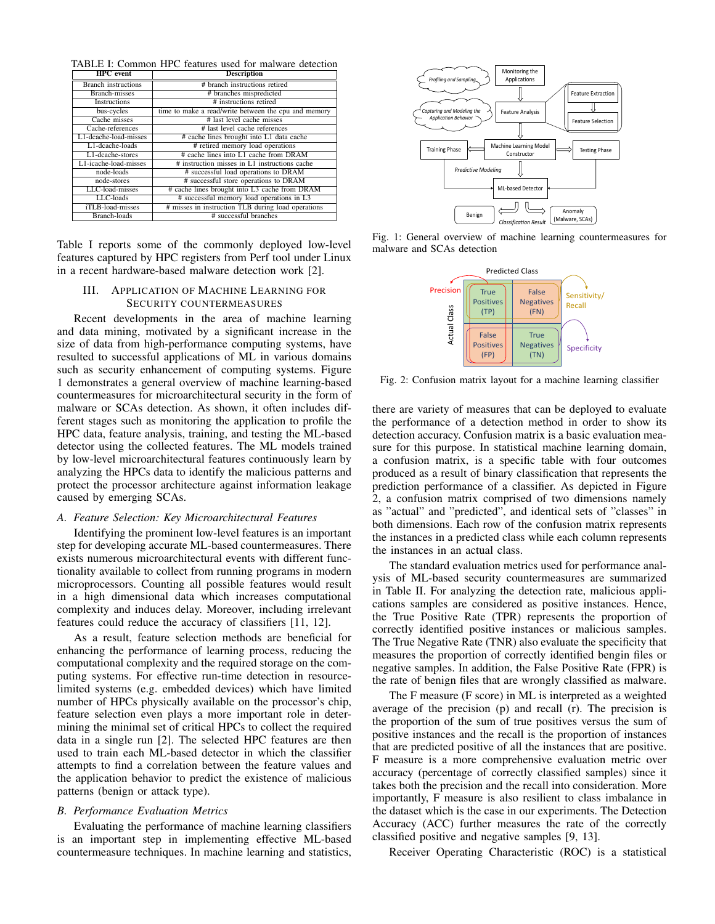TABLE I: Common HPC features used for malware detection

| <b>HPC</b> event           | <b>Description</b>                                   |  |  |
|----------------------------|------------------------------------------------------|--|--|
| <b>Branch</b> instructions | # branch instructions retired                        |  |  |
| <b>Branch-misses</b>       | # branches mispredicted                              |  |  |
| Instructions               | # instructions retired                               |  |  |
| bus-cycles                 | time to make a read/write between the cpu and memory |  |  |
| Cache misses               | # last level cache misses                            |  |  |
| Cache-references           | # last level cache references                        |  |  |
| L1-dcache-load-misses      | # cache lines brought into L1 data cache             |  |  |
| L1-dcache-loads            | # retired memory load operations                     |  |  |
| L1-dcache-stores           | # cache lines into L1 cache from DRAM                |  |  |
| L1-icache-load-misses      | # instruction misses in L1 instructions cache        |  |  |
| node-loads                 | # successful load operations to DRAM                 |  |  |
| node-stores                | # successful store operations to DRAM                |  |  |
| LLC-load-misses            | # cache lines brought into L3 cache from DRAM        |  |  |
| LLC-loads                  | # successful memory load operations in L3            |  |  |
| iTLB-load-misses           | # misses in instruction TLB during load operations   |  |  |
| Branch-loads               | # successful branches                                |  |  |

Table I reports some of the commonly deployed low-level features captured by HPC registers from Perf tool under Linux in a recent hardware-based malware detection work [2].

# III. APPLICATION OF MACHINE LEARNING FOR SECURITY COUNTERMEASURES

Recent developments in the area of machine learning and data mining, motivated by a significant increase in the size of data from high-performance computing systems, have resulted to successful applications of ML in various domains such as security enhancement of computing systems. Figure 1 demonstrates a general overview of machine learning-based countermeasures for microarchitectural security in the form of malware or SCAs detection. As shown, it often includes different stages such as monitoring the application to profile the HPC data, feature analysis, training, and testing the ML-based detector using the collected features. The ML models trained by low-level microarchitectural features continuously learn by analyzing the HPCs data to identify the malicious patterns and protect the processor architecture against information leakage caused by emerging SCAs.

# *A. Feature Selection: Key Microarchitectural Features*

Identifying the prominent low-level features is an important step for developing accurate ML-based countermeasures. There exists numerous microarchitectural events with different functionality available to collect from running programs in modern microprocessors. Counting all possible features would result in a high dimensional data which increases computational complexity and induces delay. Moreover, including irrelevant features could reduce the accuracy of classifiers [11, 12].

As a result, feature selection methods are beneficial for enhancing the performance of learning process, reducing the computational complexity and the required storage on the computing systems. For effective run-time detection in resourcelimited systems (e.g. embedded devices) which have limited number of HPCs physically available on the processor's chip, feature selection even plays a more important role in determining the minimal set of critical HPCs to collect the required data in a single run [2]. The selected HPC features are then used to train each ML-based detector in which the classifier attempts to find a correlation between the feature values and the application behavior to predict the existence of malicious patterns (benign or attack type).

## *B. Performance Evaluation Metrics*

Evaluating the performance of machine learning classifiers is an important step in implementing effective ML-based countermeasure techniques. In machine learning and statistics,



Fig. 1: General overview of machine learning countermeasures for malware and SCAs detection



Fig. 2: Confusion matrix layout for a machine learning classifier

there are variety of measures that can be deployed to evaluate the performance of a detection method in order to show its detection accuracy. Confusion matrix is a basic evaluation measure for this purpose. In statistical machine learning domain, a confusion matrix, is a specific table with four outcomes produced as a result of binary classification that represents the prediction performance of a classifier. As depicted in Figure 2, a confusion matrix comprised of two dimensions namely as "actual" and "predicted", and identical sets of "classes" in both dimensions. Each row of the confusion matrix represents the instances in a predicted class while each column represents the instances in an actual class.

The standard evaluation metrics used for performance analysis of ML-based security countermeasures are summarized in Table II. For analyzing the detection rate, malicious applications samples are considered as positive instances. Hence, the True Positive Rate (TPR) represents the proportion of correctly identified positive instances or malicious samples. The True Negative Rate (TNR) also evaluate the specificity that measures the proportion of correctly identified bengin files or negative samples. In addition, the False Positive Rate (FPR) is the rate of benign files that are wrongly classified as malware.

The F measure (F score) in ML is interpreted as a weighted average of the precision (p) and recall (r). The precision is the proportion of the sum of true positives versus the sum of positive instances and the recall is the proportion of instances that are predicted positive of all the instances that are positive. F measure is a more comprehensive evaluation metric over accuracy (percentage of correctly classified samples) since it takes both the precision and the recall into consideration. More importantly, F measure is also resilient to class imbalance in the dataset which is the case in our experiments. The Detection Accuracy (ACC) further measures the rate of the correctly classified positive and negative samples [9, 13].

Receiver Operating Characteristic (ROC) is a statistical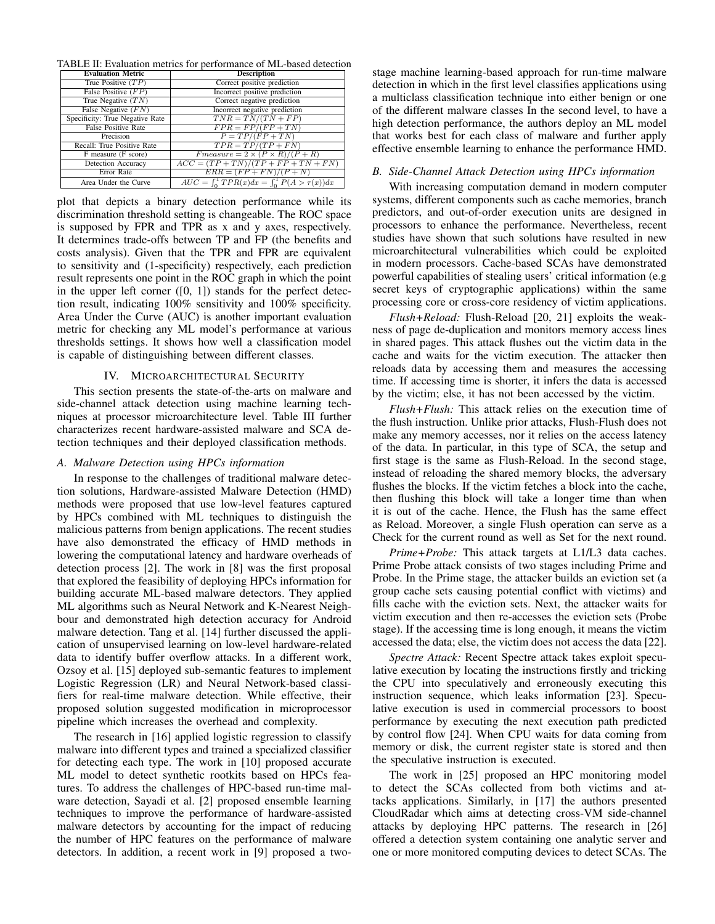TABLE II: Evaluation metrics for performance of ML-based detection

| <b>Evaluation Metric</b>        | <b>Description</b>                                    |  |
|---------------------------------|-------------------------------------------------------|--|
| True Positive $(TP)$            | Correct positive prediction                           |  |
| False Positive $(FP)$           | Incorrect positive prediction                         |  |
| True Negative $(TN)$            | Correct negative prediction                           |  |
| False Negative $(FN)$           | Incorrect negative prediction                         |  |
| Specificity: True Negative Rate | $TNR = TN/(TN + FP)$                                  |  |
| <b>False Positive Rate</b>      | $FPR = FP/(FP + TN)$                                  |  |
| Precision                       | $P = TP/(FP + TN)$                                    |  |
| Recall: True Positive Rate      | $TPR = TP/(TP + FN)$                                  |  |
| F measure (F score)             | $Fmeasure = 2 \times (P \times R)/(P + R)$            |  |
| <b>Detection Accuracy</b>       | $\overline{ACC} = (TP + TN)/(TP + FP + TN + FN)$      |  |
| Error Rate                      | $\overline{ERR = (FP + FN)/(P + N)}$                  |  |
| Area Under the Curve            | $AUC = \int_0^1 TPR(x)dx = \int_0^1 P(A > \tau(x))dx$ |  |

plot that depicts a binary detection performance while its discrimination threshold setting is changeable. The ROC space is supposed by FPR and TPR as x and y axes, respectively. It determines trade-offs between TP and FP (the benefits and costs analysis). Given that the TPR and FPR are equivalent to sensitivity and (1-specificity) respectively, each prediction result represents one point in the ROC graph in which the point in the upper left corner  $([0, 1])$  stands for the perfect detection result, indicating 100% sensitivity and 100% specificity. Area Under the Curve (AUC) is another important evaluation metric for checking any ML model's performance at various thresholds settings. It shows how well a classification model is capable of distinguishing between different classes.

#### IV. MICROARCHITECTURAL SECURITY

This section presents the state-of-the-arts on malware and side-channel attack detection using machine learning techniques at processor microarchitecture level. Table III further characterizes recent hardware-assisted malware and SCA detection techniques and their deployed classification methods.

# *A. Malware Detection using HPCs information*

In response to the challenges of traditional malware detection solutions, Hardware-assisted Malware Detection (HMD) methods were proposed that use low-level features captured by HPCs combined with ML techniques to distinguish the malicious patterns from benign applications. The recent studies have also demonstrated the efficacy of HMD methods in lowering the computational latency and hardware overheads of detection process [2]. The work in [8] was the first proposal that explored the feasibility of deploying HPCs information for building accurate ML-based malware detectors. They applied ML algorithms such as Neural Network and K-Nearest Neighbour and demonstrated high detection accuracy for Android malware detection. Tang et al. [14] further discussed the application of unsupervised learning on low-level hardware-related data to identify buffer overflow attacks. In a different work, Ozsoy et al. [15] deployed sub-semantic features to implement Logistic Regression (LR) and Neural Network-based classifiers for real-time malware detection. While effective, their proposed solution suggested modification in microprocessor pipeline which increases the overhead and complexity.

The research in [16] applied logistic regression to classify malware into different types and trained a specialized classifier for detecting each type. The work in [10] proposed accurate ML model to detect synthetic rootkits based on HPCs features. To address the challenges of HPC-based run-time malware detection, Sayadi et al. [2] proposed ensemble learning techniques to improve the performance of hardware-assisted malware detectors by accounting for the impact of reducing the number of HPC features on the performance of malware detectors. In addition, a recent work in [9] proposed a twostage machine learning-based approach for run-time malware detection in which in the first level classifies applications using a multiclass classification technique into either benign or one of the different malware classes In the second level, to have a high detection performance, the authors deploy an ML model that works best for each class of malware and further apply effective ensemble learning to enhance the performance HMD.

## *B. Side-Channel Attack Detection using HPCs information*

With increasing computation demand in modern computer systems, different components such as cache memories, branch predictors, and out-of-order execution units are designed in processors to enhance the performance. Nevertheless, recent studies have shown that such solutions have resulted in new microarchitectural vulnerabilities which could be exploited in modern processors. Cache-based SCAs have demonstrated powerful capabilities of stealing users' critical information (e.g secret keys of cryptographic applications) within the same processing core or cross-core residency of victim applications.

*Flush+Reload:* Flush-Reload [20, 21] exploits the weakness of page de-duplication and monitors memory access lines in shared pages. This attack flushes out the victim data in the cache and waits for the victim execution. The attacker then reloads data by accessing them and measures the accessing time. If accessing time is shorter, it infers the data is accessed by the victim; else, it has not been accessed by the victim.

*Flush+Flush:* This attack relies on the execution time of the flush instruction. Unlike prior attacks, Flush-Flush does not make any memory accesses, nor it relies on the access latency of the data. In particular, in this type of SCA, the setup and first stage is the same as Flush-Reload. In the second stage, instead of reloading the shared memory blocks, the adversary flushes the blocks. If the victim fetches a block into the cache, then flushing this block will take a longer time than when it is out of the cache. Hence, the Flush has the same effect as Reload. Moreover, a single Flush operation can serve as a Check for the current round as well as Set for the next round.

*Prime+Probe:* This attack targets at L1/L3 data caches. Prime Probe attack consists of two stages including Prime and Probe. In the Prime stage, the attacker builds an eviction set (a group cache sets causing potential conflict with victims) and fills cache with the eviction sets. Next, the attacker waits for victim execution and then re-accesses the eviction sets (Probe stage). If the accessing time is long enough, it means the victim accessed the data; else, the victim does not access the data [22].

*Spectre Attack:* Recent Spectre attack takes exploit speculative execution by locating the instructions firstly and tricking the CPU into speculatively and erroneously executing this instruction sequence, which leaks information [23]. Speculative execution is used in commercial processors to boost performance by executing the next execution path predicted by control flow [24]. When CPU waits for data coming from memory or disk, the current register state is stored and then the speculative instruction is executed.

The work in [25] proposed an HPC monitoring model to detect the SCAs collected from both victims and attacks applications. Similarly, in [17] the authors presented CloudRadar which aims at detecting cross-VM side-channel attacks by deploying HPC patterns. The research in [26] offered a detection system containing one analytic server and one or more monitored computing devices to detect SCAs. The